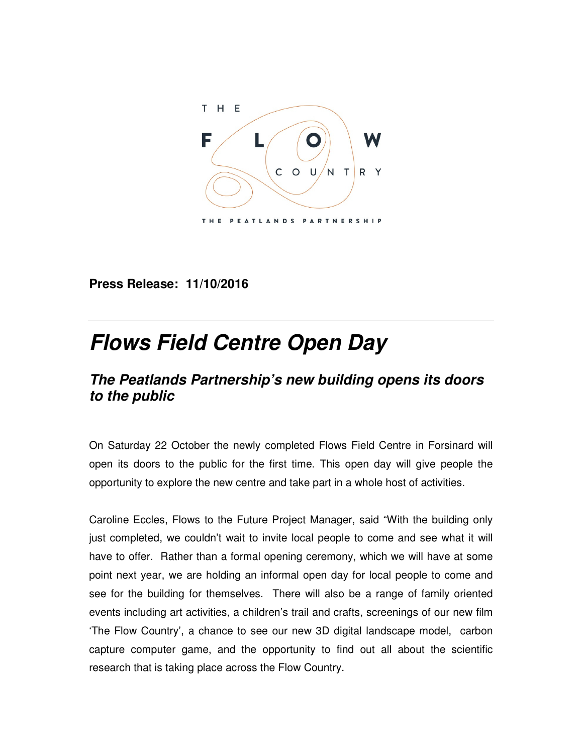

**Press Release: 11/10/2016** 

## **Flows Field Centre Open Day**

## **The Peatlands Partnership's new building opens its doors to the public**

On Saturday 22 October the newly completed Flows Field Centre in Forsinard will open its doors to the public for the first time. This open day will give people the opportunity to explore the new centre and take part in a whole host of activities.

Caroline Eccles, Flows to the Future Project Manager, said "With the building only just completed, we couldn't wait to invite local people to come and see what it will have to offer. Rather than a formal opening ceremony, which we will have at some point next year, we are holding an informal open day for local people to come and see for the building for themselves. There will also be a range of family oriented events including art activities, a children's trail and crafts, screenings of our new film 'The Flow Country', a chance to see our new 3D digital landscape model, carbon capture computer game, and the opportunity to find out all about the scientific research that is taking place across the Flow Country.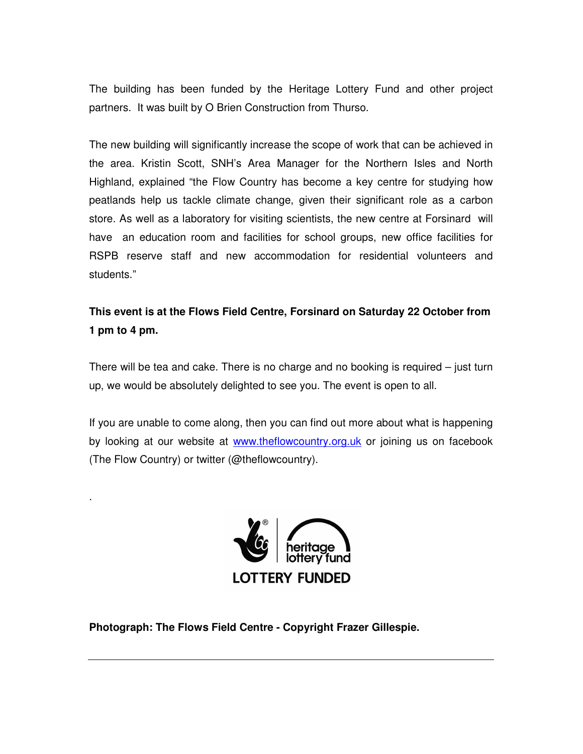The building has been funded by the Heritage Lottery Fund and other project partners. It was built by O Brien Construction from Thurso.

The new building will significantly increase the scope of work that can be achieved in the area. Kristin Scott, SNH's Area Manager for the Northern Isles and North Highland, explained "the Flow Country has become a key centre for studying how peatlands help us tackle climate change, given their significant role as a carbon store. As well as a laboratory for visiting scientists, the new centre at Forsinard will have an education room and facilities for school groups, new office facilities for RSPB reserve staff and new accommodation for residential volunteers and students."

**This event is at the Flows Field Centre, Forsinard on Saturday 22 October from 1 pm to 4 pm.** 

There will be tea and cake. There is no charge and no booking is required – just turn up, we would be absolutely delighted to see you. The event is open to all.

If you are unable to come along, then you can find out more about what is happening by looking at our website at www.theflowcountry.org.uk or joining us on facebook (The Flow Country) or twitter (@theflowcountry).



**Photograph: The Flows Field Centre - Copyright Frazer Gillespie.** 

.